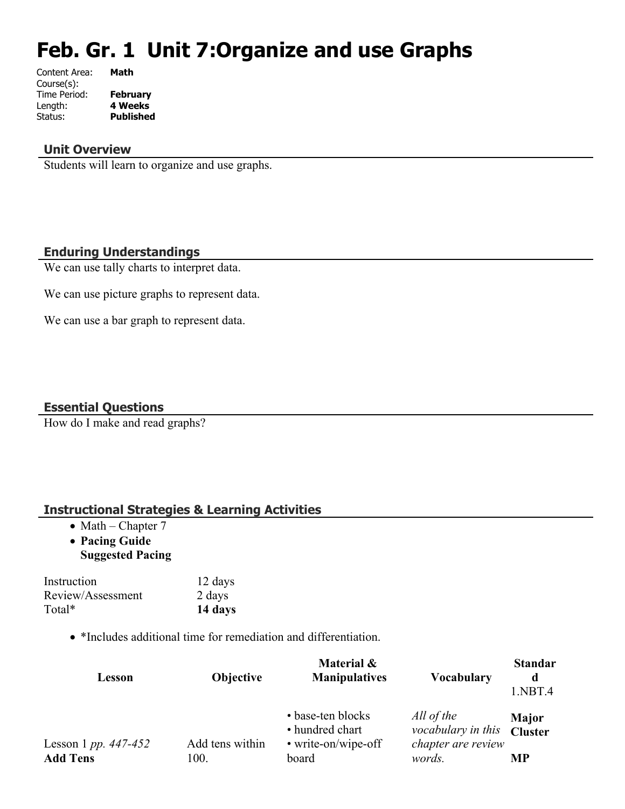# **Feb. Gr. 1 Unit 7:Organize and use Graphs**

| Content Area: | Math             |
|---------------|------------------|
| Course(s):    |                  |
| Time Period:  | <b>February</b>  |
| Length:       | <b>4 Weeks</b>   |
| Status:       | <b>Published</b> |
|               |                  |

## **Unit Overview**

Students will learn to organize and use graphs.

# **Enduring Understandings**

We can use tally charts to interpret data.

We can use picture graphs to represent data.

We can use a bar graph to represent data.

# **Essential Questions**

How do I make and read graphs?

# **Instructional Strategies & Learning Activities**

- $\bullet$  Math Chapter 7
- **Pacing Guide Suggested Pacing**

Instruction 12 days Review/Assessment 2 days Total\* **14 days**

• \*Includes additional time for remediation and differentiation.

| Lesson                 | <b>Objective</b> | Material &<br><b>Manipulatives</b>                          | <b>Vocabulary</b>                                      | <b>Standar</b><br>d<br>1.NBT.4 |
|------------------------|------------------|-------------------------------------------------------------|--------------------------------------------------------|--------------------------------|
| Lesson 1 pp. $447-452$ | Add tens within  | • base-ten blocks<br>• hundred chart<br>• write-on/wipe-off | All of the<br>vocabulary in this<br>chapter are review | <b>Major</b><br><b>Cluster</b> |
| <b>Add Tens</b>        | 100.             | board                                                       | words.                                                 | МP                             |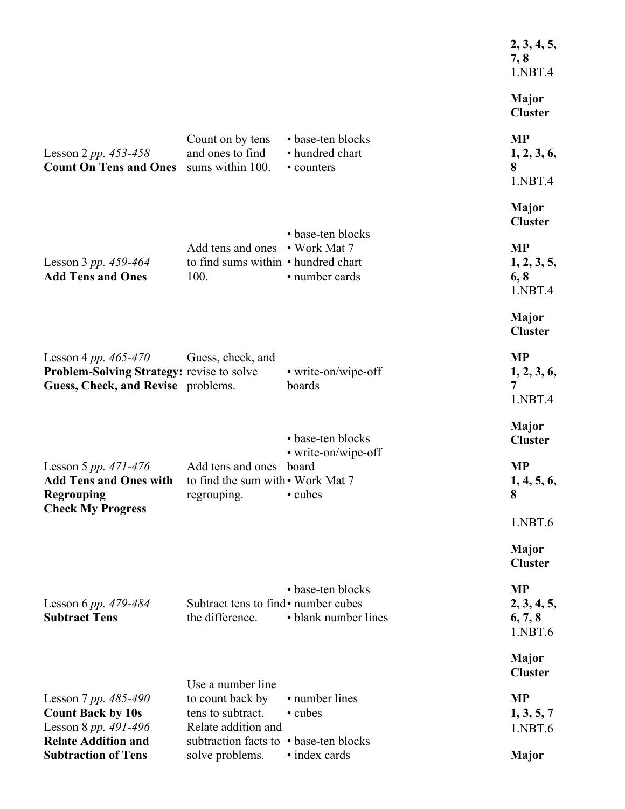|                                                                                                             |                                                                                   |                                                    | 2, 3, 4, 5,<br>7, 8<br>1.NBT.4                 |
|-------------------------------------------------------------------------------------------------------------|-----------------------------------------------------------------------------------|----------------------------------------------------|------------------------------------------------|
|                                                                                                             |                                                                                   |                                                    | Major<br><b>Cluster</b>                        |
| Lesson 2 pp. $453 - 458$<br><b>Count On Tens and Ones</b>                                                   | Count on by tens<br>and ones to find<br>sums within 100.                          | • base-ten blocks<br>• hundred chart<br>• counters | <b>MP</b><br>1, 2, 3, 6,<br>8                  |
|                                                                                                             |                                                                                   |                                                    | 1.NBT.4<br><b>Major</b><br><b>Cluster</b>      |
| Lesson 3 pp. $459-464$<br><b>Add Tens and Ones</b>                                                          | Add tens and ones • Work Mat 7<br>to find sums within • hundred chart<br>100.     | • base-ten blocks<br>• number cards                | <b>MP</b><br>1, 2, 3, 5,<br>6, 8<br>1.NBT.4    |
|                                                                                                             |                                                                                   |                                                    | <b>Major</b><br><b>Cluster</b>                 |
| Lesson 4 pp. $465 - 470$<br>Problem-Solving Strategy: revise to solve<br>Guess, Check, and Revise problems. | Guess, check, and                                                                 | • write-on/wipe-off<br>boards                      | <b>MP</b><br>1, 2, 3, 6,<br>7<br>1.NBT.4       |
|                                                                                                             |                                                                                   | • base-ten blocks                                  | <b>Major</b><br><b>Cluster</b>                 |
| Lesson 5 pp. $471-476$<br><b>Add Tens and Ones with</b><br><b>Regrouping</b>                                | Add tens and ones board<br>to find the sum with • Work Mat 7<br>regrouping.       | • write-on/wipe-off<br>• cubes                     | <b>MP</b><br>1, 4, 5, 6,<br>8                  |
| <b>Check My Progress</b>                                                                                    |                                                                                   |                                                    | 1.NBT.6                                        |
|                                                                                                             |                                                                                   |                                                    | <b>Major</b><br><b>Cluster</b>                 |
| Lesson 6 pp. 479-484<br><b>Subtract Tens</b>                                                                | Subtract tens to find • number cubes<br>the difference.                           | • base-ten blocks<br>• blank number lines          | <b>MP</b><br>2, 3, 4, 5,<br>6, 7, 8<br>1.NBT.6 |
|                                                                                                             |                                                                                   |                                                    | <b>Major</b><br><b>Cluster</b>                 |
| Lesson 7 pp. $485-490$<br><b>Count Back by 10s</b><br>Lesson 8 pp. 491-496<br><b>Relate Addition and</b>    | Use a number line<br>to count back by<br>tens to subtract.<br>Relate addition and | • number lines<br>• cubes                          | <b>MP</b><br>1, 3, 5, 7<br>1.NBT.6             |
| <b>Subtraction of Tens</b>                                                                                  | subtraction facts to • base-ten blocks<br>solve problems.                         | • index cards                                      | Major                                          |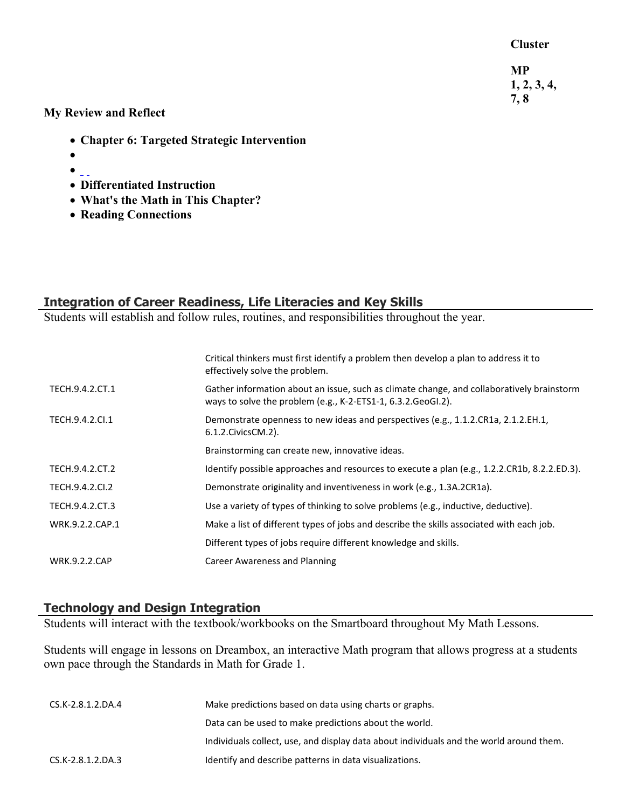**Cluster**

**MP 1, 2, 3, 4, 7, 8**

**My Review and Reflect**

- **Chapter 6: Targeted Strategic Intervention**
- $\bullet$
- $\bullet$   $\overline{\phantom{a}}$
- **Differentiated Instruction**
- **What's the Math in This Chapter?**
- **Reading Connections**

# **Integration of Career Readiness, Life Literacies and Key Skills**

Students will establish and follow rules, routines, and responsibilities throughout the year.

|                      | Critical thinkers must first identify a problem then develop a plan to address it to<br>effectively solve the problem.                                     |
|----------------------|------------------------------------------------------------------------------------------------------------------------------------------------------------|
| TECH.9.4.2.CT.1      | Gather information about an issue, such as climate change, and collaboratively brainstorm<br>ways to solve the problem (e.g., K-2-ETS1-1, 6.3.2. GeoGI.2). |
| TECH.9.4.2.Cl.1      | Demonstrate openness to new ideas and perspectives (e.g., 1.1.2.CR1a, 2.1.2.EH.1,<br>6.1.2. Civics CM. 2).                                                 |
|                      | Brainstorming can create new, innovative ideas.                                                                                                            |
| TECH.9.4.2.CT.2      | Identify possible approaches and resources to execute a plan (e.g., 1.2.2.CR1b, 8.2.2.ED.3).                                                               |
| TECH.9.4.2.CI.2      | Demonstrate originality and inventiveness in work (e.g., 1.3A.2CR1a).                                                                                      |
| TECH.9.4.2.CT.3      | Use a variety of types of thinking to solve problems (e.g., inductive, deductive).                                                                         |
| WRK.9.2.2.CAP.1      | Make a list of different types of jobs and describe the skills associated with each job.                                                                   |
|                      | Different types of jobs require different knowledge and skills.                                                                                            |
| <b>WRK.9.2.2.CAP</b> | <b>Career Awareness and Planning</b>                                                                                                                       |

# **Technology and Design Integration**

Students will interact with the textbook/workbooks on the Smartboard throughout My Math Lessons.

Students will engage in lessons on Dreambox, an interactive Math program that allows progress at a students own pace through the Standards in Math for Grade 1.

| CS.K-2.8.1.2.DA.4 | Make predictions based on data using charts or graphs.                                  |
|-------------------|-----------------------------------------------------------------------------------------|
|                   | Data can be used to make predictions about the world.                                   |
|                   | Individuals collect, use, and display data about individuals and the world around them. |
| CS.K-2.8.1.2.DA.3 | Identify and describe patterns in data visualizations.                                  |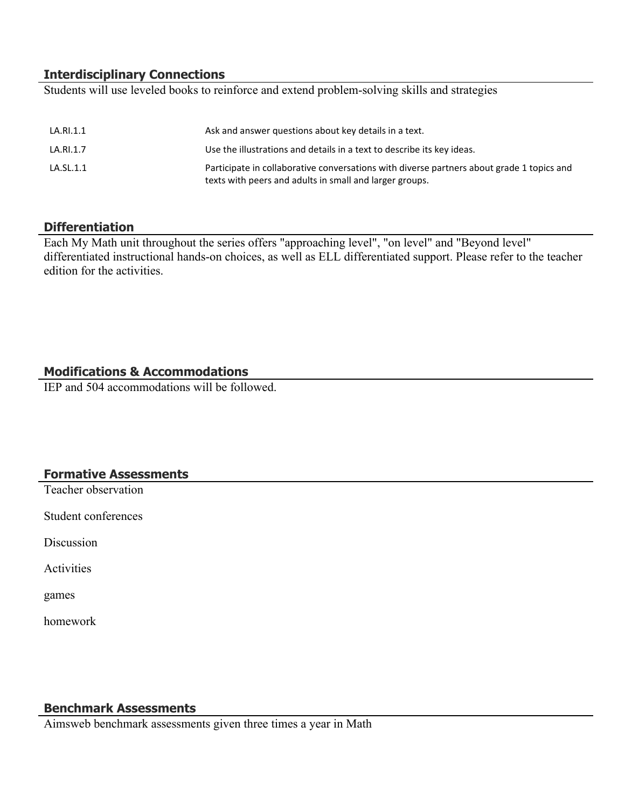# **Interdisciplinary Connections**

Students will use leveled books to reinforce and extend problem-solving skills and strategies

| LA.RI.1.1 | Ask and answer questions about key details in a text.                                                                                                |
|-----------|------------------------------------------------------------------------------------------------------------------------------------------------------|
| LA.RI.1.7 | Use the illustrations and details in a text to describe its key ideas.                                                                               |
| LA.SL.1.1 | Participate in collaborative conversations with diverse partners about grade 1 topics and<br>texts with peers and adults in small and larger groups. |

#### **Differentiation**

Each My Math unit throughout the series offers "approaching level", "on level" and "Beyond level" differentiated instructional hands-on choices, as well as ELL differentiated support. Please refer to the teacher edition for the activities.

# **Modifications & Accommodations**

IEP and 504 accommodations will be followed.

#### **Formative Assessments**

Teacher observation

Student conferences

**Discussion** 

Activities

games

homework

# **Benchmark Assessments**

Aimsweb benchmark assessments given three times a year in Math